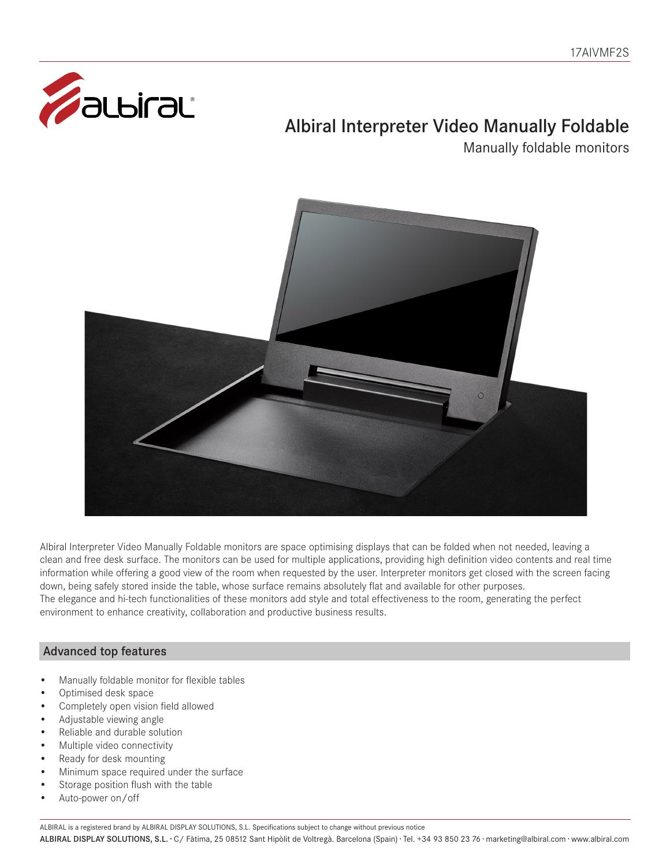

# Albiral Interpreter Video Manually Foldable

Manually foldable monitors



Albiral Interpreter Video Manually Foldable monitors are space optimising displays that can be folded when not needed, leaving a clean and free desk surface. The monitors can be used for multiple applications, providing high definition video contents and real time information while offering a good view of the room when requested by the user. Interpreter monitors get closed with the screen facing down, being safely stored inside the table, whose surface remains absolutely flat and available for other purposes. The elegance and hi-tech functionalities of these monitors add style and total effectiveness to the room, generating the perfect environment to enhance creativity, collaboration and productive business results.

## Advanced top features

- Manually foldable monitor for flexible tables
- Optimised desk space
- Completely open vision field allowed
- Adjustable viewing angle
- Reliable and durable solution
- Multiple video connectivity
- Ready for desk mounting
- Minimum space required under the surface
- Storage position flush with the table
- Auto-power on/off

ALBIRAL is a registered brand by ALBIRAL DISPLAY SOLUTIONS, S.L. Specifications subject to change without previous notice

ALBIRAL DISPLAY SOLUTIONS, S.L. · C/ Fàtima, 25 08512 Sant Hipòlit de Voltregà. Barcelona (Spain) · Tel. +34 93 850 23 76 · marketing@albiral.com · www.albiral.com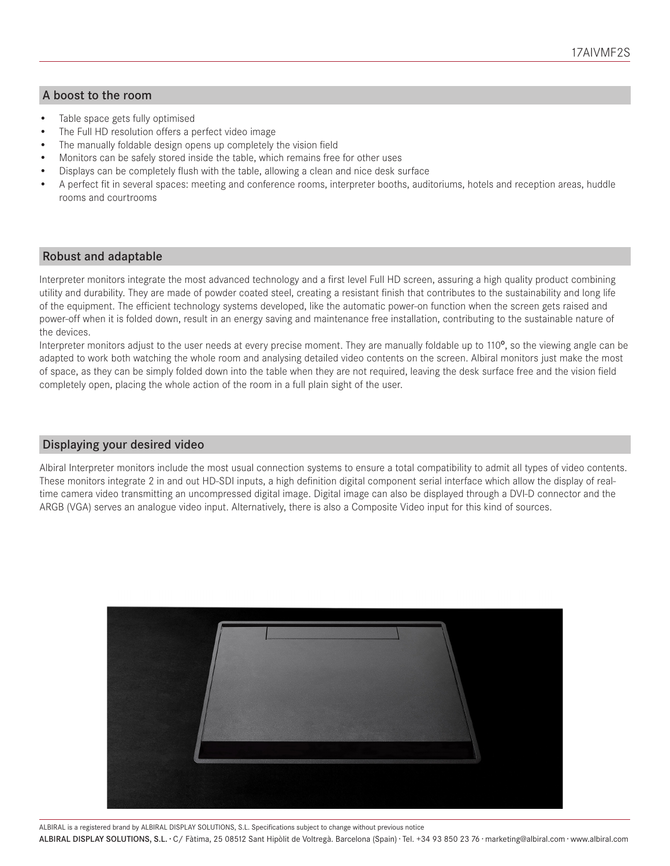#### A boost to the room

- Table space gets fully optimised
- The Full HD resolution offers a perfect video image
- The manually foldable design opens up completely the vision field
- Monitors can be safely stored inside the table, which remains free for other uses
- Displays can be completely flush with the table, allowing a clean and nice desk surface
- A perfect fit in several spaces: meeting and conference rooms, interpreter booths, auditoriums, hotels and reception areas, huddle rooms and courtrooms

#### Robust and adaptable

Interpreter monitors integrate the most advanced technology and a first level Full HD screen, assuring a high quality product combining utility and durability. They are made of powder coated steel, creating a resistant finish that contributes to the sustainability and long life of the equipment. The efficient technology systems developed, like the automatic power-on function when the screen gets raised and power-off when it is folded down, result in an energy saving and maintenance free installation, contributing to the sustainable nature of the devices.

Interpreter monitors adjust to the user needs at every precise moment. They are manually foldable up to 110º, so the viewing angle can be adapted to work both watching the whole room and analysing detailed video contents on the screen. Albiral monitors just make the most of space, as they can be simply folded down into the table when they are not required, leaving the desk surface free and the vision field completely open, placing the whole action of the room in a full plain sight of the user.

#### Displaying your desired video

Albiral Interpreter monitors include the most usual connection systems to ensure a total compatibility to admit all types of video contents. These monitors integrate 2 in and out HD-SDI inputs, a high definition digital component serial interface which allow the display of realtime camera video transmitting an uncompressed digital image. Digital image can also be displayed through a DVI-D connector and the ARGB (VGA) serves an analogue video input. Alternatively, there is also a Composite Video input for this kind of sources.



ALBIRAL is a registered brand by ALBIRAL DISPLAY SOLUTIONS, S.L. Specifications subject to change without previous notice

ALBIRAL DISPLAY SOLUTIONS, S.L. · C/ Fàtima, 25 08512 Sant Hipòlit de Voltregà. Barcelona (Spain) · Tel. +34 93 850 23 76 · marketing@albiral.com · www.albiral.com